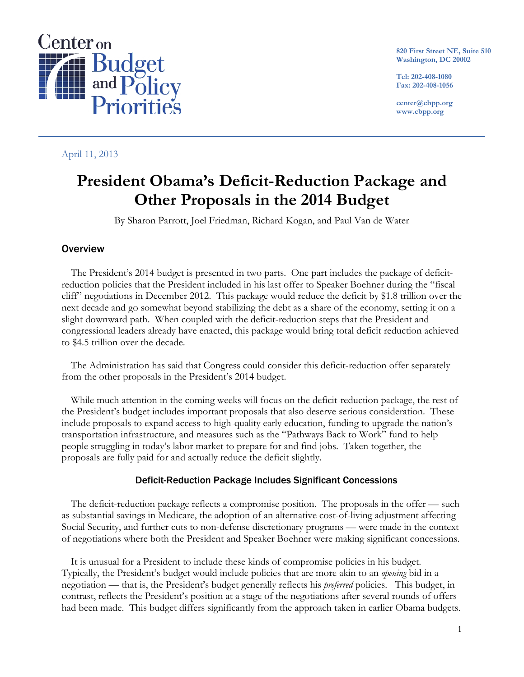

**820 First Street NE, Suite 510 Washington, DC 20002** 

**Tel: 202-408-1080 Fax: 202-408-1056** 

**center@cbpp.org www.cbpp.org** 

April 11, 2013

# **President Obama's Deficit-Reduction Package and Other Proposals in the 2014 Budget**

By Sharon Parrott, Joel Friedman, Richard Kogan, and Paul Van de Water

# **Overview**

The President's 2014 budget is presented in two parts. One part includes the package of deficitreduction policies that the President included in his last offer to Speaker Boehner during the "fiscal cliff" negotiations in December 2012. This package would reduce the deficit by \$1.8 trillion over the next decade and go somewhat beyond stabilizing the debt as a share of the economy, setting it on a slight downward path. When coupled with the deficit-reduction steps that the President and congressional leaders already have enacted, this package would bring total deficit reduction achieved to \$4.5 trillion over the decade.

The Administration has said that Congress could consider this deficit-reduction offer separately from the other proposals in the President's 2014 budget.

While much attention in the coming weeks will focus on the deficit-reduction package, the rest of the President's budget includes important proposals that also deserve serious consideration. These include proposals to expand access to high-quality early education, funding to upgrade the nation's transportation infrastructure, and measures such as the "Pathways Back to Work" fund to help people struggling in today's labor market to prepare for and find jobs. Taken together, the proposals are fully paid for and actually reduce the deficit slightly.

# Deficit-Reduction Package Includes Significant Concessions

The deficit-reduction package reflects a compromise position. The proposals in the offer — such as substantial savings in Medicare, the adoption of an alternative cost-of-living adjustment affecting Social Security, and further cuts to non-defense discretionary programs — were made in the context of negotiations where both the President and Speaker Boehner were making significant concessions.

It is unusual for a President to include these kinds of compromise policies in his budget. Typically, the President's budget would include policies that are more akin to an *opening* bid in a negotiation — that is, the President's budget generally reflects his *preferred* policies. This budget, in contrast, reflects the President's position at a stage of the negotiations after several rounds of offers had been made. This budget differs significantly from the approach taken in earlier Obama budgets.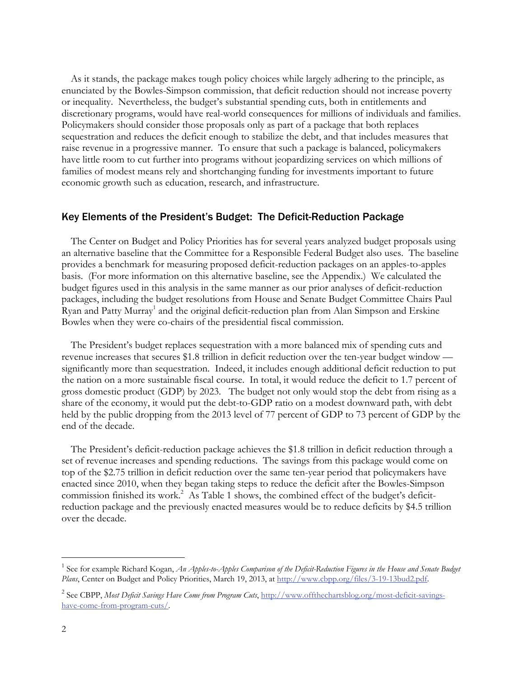As it stands, the package makes tough policy choices while largely adhering to the principle, as enunciated by the Bowles-Simpson commission, that deficit reduction should not increase poverty or inequality. Nevertheless, the budget's substantial spending cuts, both in entitlements and discretionary programs, would have real-world consequences for millions of individuals and families. Policymakers should consider those proposals only as part of a package that both replaces sequestration and reduces the deficit enough to stabilize the debt, and that includes measures that raise revenue in a progressive manner. To ensure that such a package is balanced, policymakers have little room to cut further into programs without jeopardizing services on which millions of families of modest means rely and shortchanging funding for investments important to future economic growth such as education, research, and infrastructure.

### Key Elements of the President's Budget: The Deficit-Reduction Package

The Center on Budget and Policy Priorities has for several years analyzed budget proposals using an alternative baseline that the Committee for a Responsible Federal Budget also uses. The baseline provides a benchmark for measuring proposed deficit-reduction packages on an apples-to-apples basis. (For more information on this alternative baseline, see the Appendix.) We calculated the budget figures used in this analysis in the same manner as our prior analyses of deficit-reduction packages, including the budget resolutions from House and Senate Budget Committee Chairs Paul Ryan and Patty Murray<sup>1</sup> and the original deficit-reduction plan from Alan Simpson and Erskine Bowles when they were co-chairs of the presidential fiscal commission.

The President's budget replaces sequestration with a more balanced mix of spending cuts and revenue increases that secures \$1.8 trillion in deficit reduction over the ten-year budget window significantly more than sequestration. Indeed, it includes enough additional deficit reduction to put the nation on a more sustainable fiscal course. In total, it would reduce the deficit to 1.7 percent of gross domestic product (GDP) by 2023. The budget not only would stop the debt from rising as a share of the economy, it would put the debt-to-GDP ratio on a modest downward path, with debt held by the public dropping from the 2013 level of 77 percent of GDP to 73 percent of GDP by the end of the decade.

The President's deficit-reduction package achieves the \$1.8 trillion in deficit reduction through a set of revenue increases and spending reductions. The savings from this package would come on top of the \$2.75 trillion in deficit reduction over the same ten-year period that policymakers have enacted since 2010, when they began taking steps to reduce the deficit after the Bowles-Simpson commission finished its work.<sup>2</sup> As Table 1 shows, the combined effect of the budget's deficitreduction package and the previously enacted measures would be to reduce deficits by \$4.5 trillion over the decade.

 $\overline{a}$ 

<sup>&</sup>lt;sup>1</sup> See for example Richard Kogan, *An Apples-to-Apples Comparison of the Deficit-Reduction Figures in the House and Senate Budget Plans*, Center on Budget and Policy Priorities, March 19, 2013, at http://www.cbpp.org/files/3-19-13bud2.pdf.

<sup>2</sup> See CBPP, *Most Deficit Savings Have Come from Program Cuts*, http://www.offthechartsblog.org/most-deficit-savingshave-come-from-program-cuts/.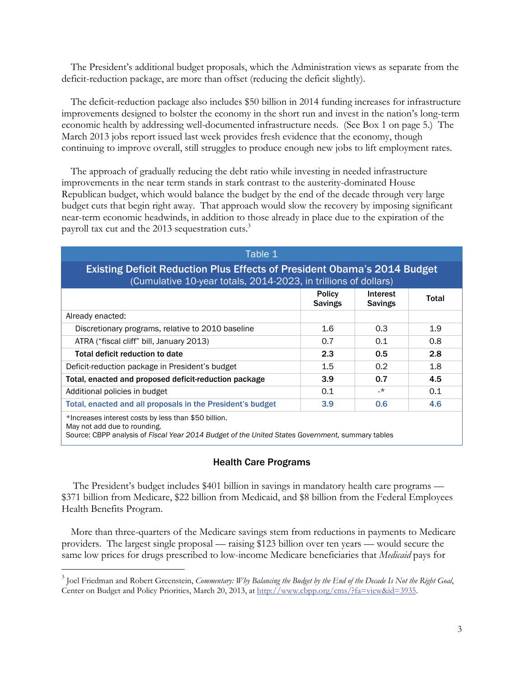The President's additional budget proposals, which the Administration views as separate from the deficit-reduction package, are more than offset (reducing the deficit slightly).

The deficit-reduction package also includes \$50 billion in 2014 funding increases for infrastructure improvements designed to bolster the economy in the short run and invest in the nation's long-term economic health by addressing well-documented infrastructure needs. (See Box 1 on page 5.) The March 2013 jobs report issued last week provides fresh evidence that the economy, though continuing to improve overall, still struggles to produce enough new jobs to lift employment rates.

The approach of gradually reducing the debt ratio while investing in needed infrastructure improvements in the near term stands in stark contrast to the austerity-dominated House Republican budget, which would balance the budget by the end of the decade through very large budget cuts that begin right away. That approach would slow the recovery by imposing significant near-term economic headwinds, in addition to those already in place due to the expiration of the payroll tax cut and the 2013 sequestration cuts.<sup>3</sup>

| Table 1                                                                                                                                            |                                 |                            |       |
|----------------------------------------------------------------------------------------------------------------------------------------------------|---------------------------------|----------------------------|-------|
| <b>Existing Deficit Reduction Plus Effects of President Obama's 2014 Budget</b><br>(Cumulative 10-year totals, 2014-2023, in trillions of dollars) |                                 |                            |       |
|                                                                                                                                                    | <b>Policy</b><br><b>Savings</b> | Interest<br><b>Savings</b> | Total |
| Already enacted:                                                                                                                                   |                                 |                            |       |
| Discretionary programs, relative to 2010 baseline                                                                                                  | $1.6\,$                         | 0.3                        | 1.9   |
| ATRA ("fiscal cliff" bill, January 2013)                                                                                                           | 0.7                             | 0.1                        | 0.8   |
| Total deficit reduction to date                                                                                                                    | 2.3                             | 0.5                        | 2.8   |
| Deficit-reduction package in President's budget                                                                                                    | $1.5\,$                         | 0.2                        | 1.8   |
| Total, enacted and proposed deficit-reduction package                                                                                              | 3.9                             | 0.7                        | 4.5   |
| Additional policies in budget                                                                                                                      | 0.1                             | $\cdot^*$                  | 0.1   |
| Total, enacted and all proposals in the President's budget                                                                                         | 3.9                             | 0.6                        | 4.6   |
| *Increases interest costs by less than \$50 billion.<br>May not add due to rounding.                                                               |                                 |                            |       |

Source: CBPP analysis of *Fiscal Year 2014 Budget of the United States Government,* summary tables

-

### Health Care Programs

The President's budget includes \$401 billion in savings in mandatory health care programs — \$371 billion from Medicare, \$22 billion from Medicaid, and \$8 billion from the Federal Employees Health Benefits Program.

More than three-quarters of the Medicare savings stem from reductions in payments to Medicare providers. The largest single proposal — raising \$123 billion over ten years — would secure the same low prices for drugs prescribed to low-income Medicare beneficiaries that *Medicaid* pays for

<sup>3</sup> Joel Friedman and Robert Greenstein, *Commentary: Why Balancing the Budget by the End of the Decade Is Not the Right Goal*, Center on Budget and Policy Priorities, March 20, 2013, at http://www.cbpp.org/cms/?fa=view&id=3935.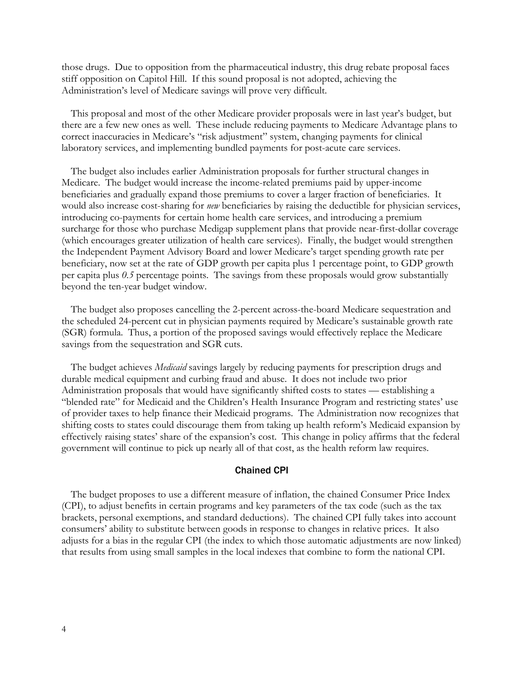those drugs. Due to opposition from the pharmaceutical industry, this drug rebate proposal faces stiff opposition on Capitol Hill. If this sound proposal is not adopted, achieving the Administration's level of Medicare savings will prove very difficult.

This proposal and most of the other Medicare provider proposals were in last year's budget, but there are a few new ones as well. These include reducing payments to Medicare Advantage plans to correct inaccuracies in Medicare's "risk adjustment" system, changing payments for clinical laboratory services, and implementing bundled payments for post-acute care services.

The budget also includes earlier Administration proposals for further structural changes in Medicare. The budget would increase the income-related premiums paid by upper-income beneficiaries and gradually expand those premiums to cover a larger fraction of beneficiaries. It would also increase cost-sharing for *new* beneficiaries by raising the deductible for physician services, introducing co-payments for certain home health care services, and introducing a premium surcharge for those who purchase Medigap supplement plans that provide near-first-dollar coverage (which encourages greater utilization of health care services). Finally, the budget would strengthen the Independent Payment Advisory Board and lower Medicare's target spending growth rate per beneficiary, now set at the rate of GDP growth per capita plus 1 percentage point, to GDP growth per capita plus *0.5* percentage points. The savings from these proposals would grow substantially beyond the ten-year budget window.

The budget also proposes cancelling the 2-percent across-the-board Medicare sequestration and the scheduled 24-percent cut in physician payments required by Medicare's sustainable growth rate (SGR) formula. Thus, a portion of the proposed savings would effectively replace the Medicare savings from the sequestration and SGR cuts.

The budget achieves *Medicaid* savings largely by reducing payments for prescription drugs and durable medical equipment and curbing fraud and abuse. It does not include two prior Administration proposals that would have significantly shifted costs to states — establishing a "blended rate" for Medicaid and the Children's Health Insurance Program and restricting states' use of provider taxes to help finance their Medicaid programs. The Administration now recognizes that shifting costs to states could discourage them from taking up health reform's Medicaid expansion by effectively raising states' share of the expansion's cost. This change in policy affirms that the federal government will continue to pick up nearly all of that cost, as the health reform law requires.

### Chained CPI

The budget proposes to use a different measure of inflation, the chained Consumer Price Index (CPI), to adjust benefits in certain programs and key parameters of the tax code (such as the tax brackets, personal exemptions, and standard deductions). The chained CPI fully takes into account consumers' ability to substitute between goods in response to changes in relative prices. It also adjusts for a bias in the regular CPI (the index to which those automatic adjustments are now linked) that results from using small samples in the local indexes that combine to form the national CPI.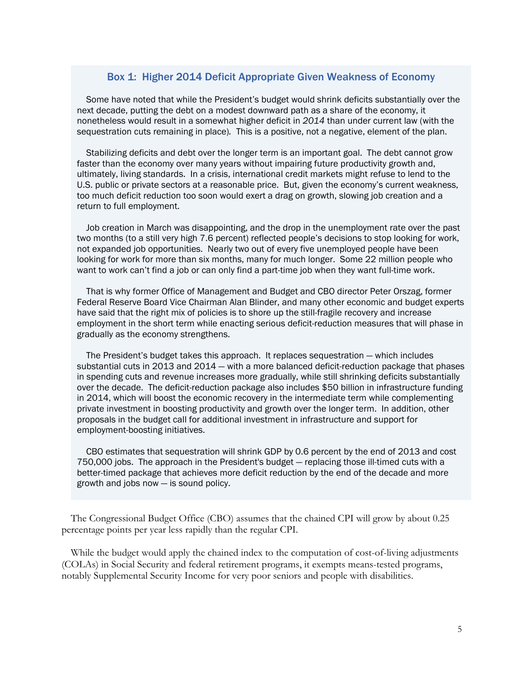## Box 1: Higher 2014 Deficit Appropriate Given Weakness of Economy

Some have noted that while the President's budget would shrink deficits substantially over the next decade, putting the debt on a modest downward path as a share of the economy, it nonetheless would result in a somewhat higher deficit in *2014* than under current law (with the sequestration cuts remaining in place)*.* This is a positive, not a negative, element of the plan.

Stabilizing deficits and debt over the longer term is an important goal. The debt cannot grow faster than the economy over many years without impairing future productivity growth and, ultimately, living standards. In a crisis, international credit markets might refuse to lend to the U.S. public or private sectors at a reasonable price. But, given the economy's current weakness, too much deficit reduction too soon would exert a drag on growth, slowing job creation and a return to full employment.

Job creation in March was disappointing, and the drop in the unemployment rate over the past two months (to a still very high 7.6 percent) reflected people's decisions to stop looking for work, not expanded job opportunities. Nearly two out of every five unemployed people have been looking for work for more than six months, many for much longer. Some 22 million people who want to work can't find a job or can only find a part-time job when they want full-time work.

That is why former Office of Management and Budget and CBO director Peter Orszag, former Federal Reserve Board Vice Chairman Alan Blinder, and many other economic and budget experts have said that the right mix of policies is to shore up the still-fragile recovery and increase employment in the short term while enacting serious deficit-reduction measures that will phase in gradually as the economy strengthens.

The President's budget takes this approach. It replaces sequestration — which includes substantial cuts in 2013 and 2014 — with a more balanced deficit-reduction package that phases in spending cuts and revenue increases more gradually, while still shrinking deficits substantially over the decade. The deficit-reduction package also includes \$50 billion in infrastructure funding in 2014, which will boost the economic recovery in the intermediate term while complementing private investment in boosting productivity and growth over the longer term. In addition, other proposals in the budget call for additional investment in infrastructure and support for employment-boosting initiatives.

CBO estimates that sequestration will shrink GDP by 0.6 percent by the end of 2013 and cost 750,000 jobs. The approach in the President's budget — replacing those ill-timed cuts with a better-timed package that achieves more deficit reduction by the end of the decade and more growth and jobs now — is sound policy.

The Congressional Budget Office (CBO) assumes that the chained CPI will grow by about 0.25 percentage points per year less rapidly than the regular CPI.

While the budget would apply the chained index to the computation of cost-of-living adjustments (COLAs) in Social Security and federal retirement programs, it exempts means-tested programs, notably Supplemental Security Income for very poor seniors and people with disabilities.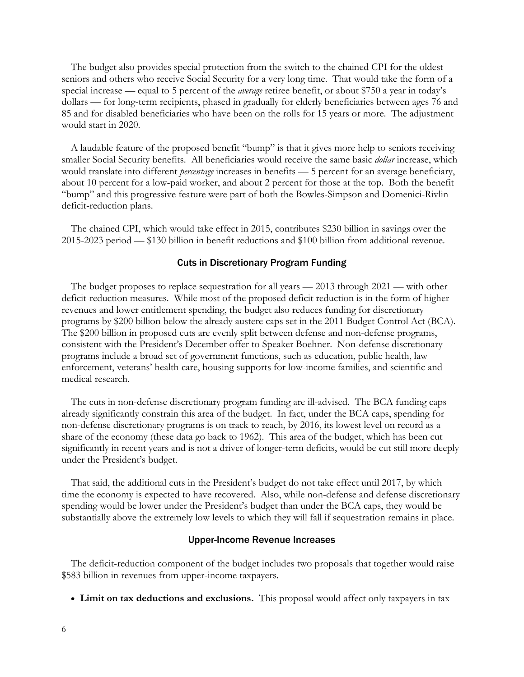The budget also provides special protection from the switch to the chained CPI for the oldest seniors and others who receive Social Security for a very long time. That would take the form of a special increase — equal to 5 percent of the *average* retiree benefit, or about \$750 a year in today's dollars — for long-term recipients, phased in gradually for elderly beneficiaries between ages 76 and 85 and for disabled beneficiaries who have been on the rolls for 15 years or more. The adjustment would start in 2020.

A laudable feature of the proposed benefit "bump" is that it gives more help to seniors receiving smaller Social Security benefits. All beneficiaries would receive the same basic *dollar* increase, which would translate into different *percentage* increases in benefits — 5 percent for an average beneficiary, about 10 percent for a low-paid worker, and about 2 percent for those at the top. Both the benefit "bump" and this progressive feature were part of both the Bowles-Simpson and Domenici-Rivlin deficit-reduction plans.

The chained CPI, which would take effect in 2015, contributes \$230 billion in savings over the 2015-2023 period — \$130 billion in benefit reductions and \$100 billion from additional revenue.

#### Cuts in Discretionary Program Funding

The budget proposes to replace sequestration for all years — 2013 through 2021 — with other deficit-reduction measures. While most of the proposed deficit reduction is in the form of higher revenues and lower entitlement spending, the budget also reduces funding for discretionary programs by \$200 billion below the already austere caps set in the 2011 Budget Control Act (BCA). The \$200 billion in proposed cuts are evenly split between defense and non-defense programs, consistent with the President's December offer to Speaker Boehner. Non-defense discretionary programs include a broad set of government functions, such as education, public health, law enforcement, veterans' health care, housing supports for low-income families, and scientific and medical research.

The cuts in non-defense discretionary program funding are ill-advised. The BCA funding caps already significantly constrain this area of the budget. In fact, under the BCA caps, spending for non-defense discretionary programs is on track to reach, by 2016, its lowest level on record as a share of the economy (these data go back to 1962). This area of the budget, which has been cut significantly in recent years and is not a driver of longer-term deficits, would be cut still more deeply under the President's budget.

That said, the additional cuts in the President's budget do not take effect until 2017, by which time the economy is expected to have recovered. Also, while non-defense and defense discretionary spending would be lower under the President's budget than under the BCA caps, they would be substantially above the extremely low levels to which they will fall if sequestration remains in place.

#### Upper-Income Revenue Increases

The deficit-reduction component of the budget includes two proposals that together would raise \$583 billion in revenues from upper-income taxpayers.

**Limit on tax deductions and exclusions.** This proposal would affect only taxpayers in tax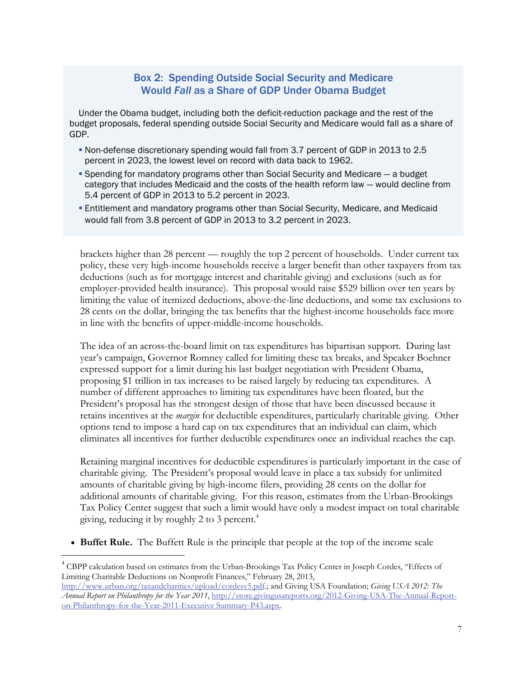# Box 2: Spending Outside Social Security and Medicare Would *Fall* as a Share of GDP Under Obama Budget

Under the Obama budget, including both the deficit-reduction package and the rest of the budget proposals, federal spending outside Social Security and Medicare would fall as a share of GDP.

- Non-defense discretionary spending would fall from 3.7 percent of GDP in 2013 to 2.5 percent in 2023, the lowest level on record with data back to 1962.
- Spending for mandatory programs other than Social Security and Medicare a budget category that includes Medicaid and the costs of the health reform law — would decline from 5.4 percent of GDP in 2013 to 5.2 percent in 2023.
- Entitlement and mandatory programs other than Social Security, Medicare, and Medicaid would fall from 3.8 percent of GDP in 2013 to 3.2 percent in 2023.

brackets higher than 28 percent — roughly the top 2 percent of households. Under current tax policy, these very high-income households receive a larger benefit than other taxpayers from tax deductions (such as for mortgage interest and charitable giving) and exclusions (such as for employer-provided health insurance). This proposal would raise \$529 billion over ten years by limiting the value of itemized deductions, above-the-line deductions, and some tax exclusions to 28 cents on the dollar, bringing the tax benefits that the highest-income households face more in line with the benefits of upper-middle-income households.

The idea of an across-the-board limit on tax expenditures has bipartisan support. During last year's campaign, Governor Romney called for limiting these tax breaks, and Speaker Boehner expressed support for a limit during his last budget negotiation with President Obama, proposing \$1 trillion in tax increases to be raised largely by reducing tax expenditures. A number of different approaches to limiting tax expenditures have been floated, but the President's proposal has the strongest design of those that have been discussed because it retains incentives at the *margin* for deductible expenditures, particularly charitable giving. Other options tend to impose a hard cap on tax expenditures that an individual can claim, which eliminates all incentives for further deductible expenditures once an individual reaches the cap.

Retaining marginal incentives for deductible expenditures is particularly important in the case of charitable giving. The President's proposal would leave in place a tax subsidy for unlimited amounts of charitable giving by high-income filers, providing 28 cents on the dollar for additional amounts of charitable giving. For this reason, estimates from the Urban-Brookings Tax Policy Center suggest that such a limit would have only a modest impact on total charitable giving, reducing it by roughly 2 to 3 percent.<sup>4</sup>

**Buffet Rule.** The Buffett Rule is the principle that people at the top of the income scale

-

<sup>&</sup>lt;sup>4</sup> CBPP calculation based on estimates from the Urban-Brookings Tax Policy Center in Joseph Cordes, "Effects of Limiting Charitable Deductions on Nonprofit Finances," February 28, 2013,

http://www.urban.org/taxandcharities/upload/cordesv5.pdf.; and Giving USA Foundation; *Giving USA 2012: The Annual Report on Philanthropy for the Year 2011*, http://store.givingusareports.org/2012-Giving-USA-The-Annual-Reporton-Philanthropy-for-the-Year-2011-Executive Summary-P43.aspx.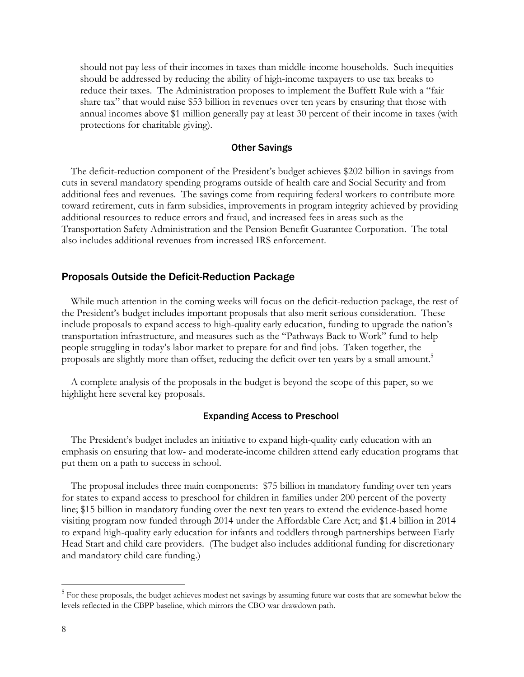should not pay less of their incomes in taxes than middle-income households. Such inequities should be addressed by reducing the ability of high-income taxpayers to use tax breaks to reduce their taxes. The Administration proposes to implement the Buffett Rule with a "fair share tax" that would raise \$53 billion in revenues over ten years by ensuring that those with annual incomes above \$1 million generally pay at least 30 percent of their income in taxes (with protections for charitable giving).

### Other Savings

The deficit-reduction component of the President's budget achieves \$202 billion in savings from cuts in several mandatory spending programs outside of health care and Social Security and from additional fees and revenues. The savings come from requiring federal workers to contribute more toward retirement, cuts in farm subsidies, improvements in program integrity achieved by providing additional resources to reduce errors and fraud, and increased fees in areas such as the Transportation Safety Administration and the Pension Benefit Guarantee Corporation. The total also includes additional revenues from increased IRS enforcement.

### Proposals Outside the Deficit-Reduction Package

While much attention in the coming weeks will focus on the deficit-reduction package, the rest of the President's budget includes important proposals that also merit serious consideration. These include proposals to expand access to high-quality early education, funding to upgrade the nation's transportation infrastructure, and measures such as the "Pathways Back to Work" fund to help people struggling in today's labor market to prepare for and find jobs. Taken together, the proposals are slightly more than offset, reducing the deficit over ten years by a small amount.<sup>5</sup>

A complete analysis of the proposals in the budget is beyond the scope of this paper, so we highlight here several key proposals.

#### Expanding Access to Preschool

The President's budget includes an initiative to expand high-quality early education with an emphasis on ensuring that low- and moderate-income children attend early education programs that put them on a path to success in school.

The proposal includes three main components: \$75 billion in mandatory funding over ten years for states to expand access to preschool for children in families under 200 percent of the poverty line; \$15 billion in mandatory funding over the next ten years to extend the evidence-based home visiting program now funded through 2014 under the Affordable Care Act; and \$1.4 billion in 2014 to expand high-quality early education for infants and toddlers through partnerships between Early Head Start and child care providers. (The budget also includes additional funding for discretionary and mandatory child care funding.)

-

<sup>&</sup>lt;sup>5</sup> For these proposals, the budget achieves modest net savings by assuming future war costs that are somewhat below the levels reflected in the CBPP baseline, which mirrors the CBO war drawdown path.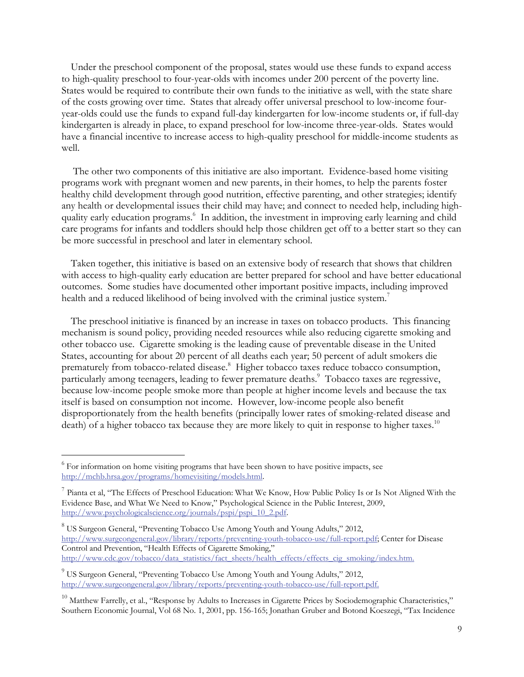Under the preschool component of the proposal, states would use these funds to expand access to high-quality preschool to four-year-olds with incomes under 200 percent of the poverty line. States would be required to contribute their own funds to the initiative as well, with the state share of the costs growing over time. States that already offer universal preschool to low-income fouryear-olds could use the funds to expand full-day kindergarten for low-income students or, if full-day kindergarten is already in place, to expand preschool for low-income three-year-olds. States would have a financial incentive to increase access to high-quality preschool for middle-income students as well.

 The other two components of this initiative are also important. Evidence-based home visiting programs work with pregnant women and new parents, in their homes, to help the parents foster healthy child development through good nutrition, effective parenting, and other strategies; identify any health or developmental issues their child may have; and connect to needed help, including highquality early education programs.<sup>6</sup> In addition, the investment in improving early learning and child care programs for infants and toddlers should help those children get off to a better start so they can be more successful in preschool and later in elementary school.

Taken together, this initiative is based on an extensive body of research that shows that children with access to high-quality early education are better prepared for school and have better educational outcomes. Some studies have documented other important positive impacts, including improved health and a reduced likelihood of being involved with the criminal justice system.<sup>7</sup>

The preschool initiative is financed by an increase in taxes on tobacco products. This financing mechanism is sound policy, providing needed resources while also reducing cigarette smoking and other tobacco use. Cigarette smoking is the leading cause of preventable disease in the United States, accounting for about 20 percent of all deaths each year; 50 percent of adult smokers die prematurely from tobacco-related disease.<sup>8</sup> Higher tobacco taxes reduce tobacco consumption, particularly among teenagers, leading to fewer premature deaths.<sup>9</sup> Tobacco taxes are regressive, because low-income people smoke more than people at higher income levels and because the tax itself is based on consumption not income. However, low-income people also benefit disproportionately from the health benefits (principally lower rates of smoking-related disease and death) of a higher tobacco tax because they are more likely to quit in response to higher taxes.<sup>10</sup>

 $\overline{a}$ 

 $6$  For information on home visiting programs that have been shown to have positive impacts, see http://mchb.hrsa.gov/programs/homevisiting/models.html.

<sup>&</sup>lt;sup>7</sup> Pianta et al, "The Effects of Preschool Education: What We Know, How Public Policy Is or Is Not Aligned With the Evidence Base, and What We Need to Know," Psychological Science in the Public Interest, 2009, http://www.psychologicalscience.org/journals/pspi/pspi\_10\_2.pdf.

<sup>&</sup>lt;sup>8</sup> US Surgeon General, "Preventing Tobacco Use Among Youth and Young Adults," 2012, http://www.surgeongeneral.gov/library/reports/preventing-youth-tobacco-use/full-report.pdf; Center for Disease Control and Prevention, "Health Effects of Cigarette Smoking," http://www.cdc.gov/tobacco/data\_statistics/fact\_sheets/health\_effects/effects\_cig\_smoking/index.htm.

<sup>&</sup>lt;sup>9</sup> US Surgeon General, "Preventing Tobacco Use Among Youth and Young Adults," 2012, http://www.surgeongeneral.gov/library/reports/preventing-youth-tobacco-use/full-report.pdf.

<sup>&</sup>lt;sup>10</sup> Matthew Farrelly, et al., "Response by Adults to Increases in Cigarette Prices by Sociodemographic Characteristics," Southern Economic Journal, Vol 68 No. 1, 2001, pp. 156-165; Jonathan Gruber and Botond Koeszegi, "Tax Incidence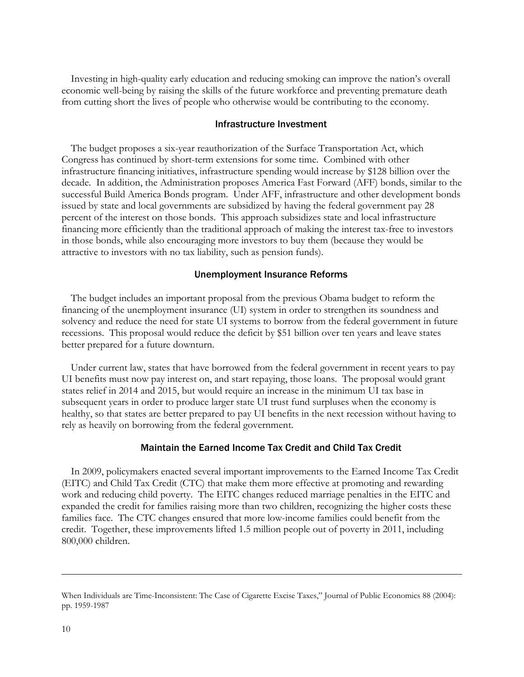Investing in high-quality early education and reducing smoking can improve the nation's overall economic well-being by raising the skills of the future workforce and preventing premature death from cutting short the lives of people who otherwise would be contributing to the economy.

#### Infrastructure Investment

The budget proposes a six-year reauthorization of the Surface Transportation Act, which Congress has continued by short-term extensions for some time. Combined with other infrastructure financing initiatives, infrastructure spending would increase by \$128 billion over the decade. In addition, the Administration proposes America Fast Forward (AFF) bonds, similar to the successful Build America Bonds program. Under AFF, infrastructure and other development bonds issued by state and local governments are subsidized by having the federal government pay 28 percent of the interest on those bonds. This approach subsidizes state and local infrastructure financing more efficiently than the traditional approach of making the interest tax-free to investors in those bonds, while also encouraging more investors to buy them (because they would be attractive to investors with no tax liability, such as pension funds).

#### Unemployment Insurance Reforms

The budget includes an important proposal from the previous Obama budget to reform the financing of the unemployment insurance (UI) system in order to strengthen its soundness and solvency and reduce the need for state UI systems to borrow from the federal government in future recessions. This proposal would reduce the deficit by \$51 billion over ten years and leave states better prepared for a future downturn.

Under current law, states that have borrowed from the federal government in recent years to pay UI benefits must now pay interest on, and start repaying, those loans. The proposal would grant states relief in 2014 and 2015, but would require an increase in the minimum UI tax base in subsequent years in order to produce larger state UI trust fund surpluses when the economy is healthy, so that states are better prepared to pay UI benefits in the next recession without having to rely as heavily on borrowing from the federal government.

### Maintain the Earned Income Tax Credit and Child Tax Credit

In 2009, policymakers enacted several important improvements to the Earned Income Tax Credit (EITC) and Child Tax Credit (CTC) that make them more effective at promoting and rewarding work and reducing child poverty. The EITC changes reduced marriage penalties in the EITC and expanded the credit for families raising more than two children, recognizing the higher costs these families face. The CTC changes ensured that more low-income families could benefit from the credit. Together, these improvements lifted 1.5 million people out of poverty in 2011, including 800,000 children.

 $\overline{a}$ 

When Individuals are Time-Inconsistent: The Case of Cigarette Excise Taxes," Journal of Public Economics 88 (2004): pp. 1959-1987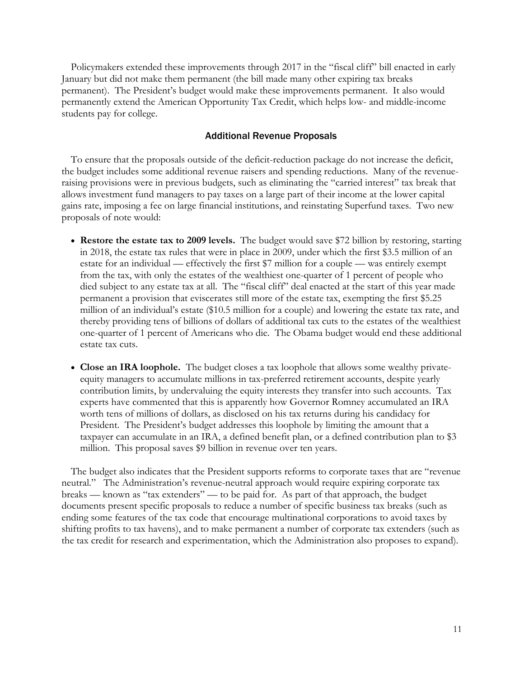Policymakers extended these improvements through 2017 in the "fiscal cliff" bill enacted in early January but did not make them permanent (the bill made many other expiring tax breaks permanent). The President's budget would make these improvements permanent. It also would permanently extend the American Opportunity Tax Credit, which helps low- and middle-income students pay for college.

### Additional Revenue Proposals

To ensure that the proposals outside of the deficit-reduction package do not increase the deficit, the budget includes some additional revenue raisers and spending reductions. Many of the revenueraising provisions were in previous budgets, such as eliminating the "carried interest" tax break that allows investment fund managers to pay taxes on a large part of their income at the lower capital gains rate, imposing a fee on large financial institutions, and reinstating Superfund taxes. Two new proposals of note would:

- **Restore the estate tax to 2009 levels.** The budget would save \$72 billion by restoring, starting in 2018, the estate tax rules that were in place in 2009, under which the first \$3.5 million of an estate for an individual — effectively the first \$7 million for a couple — was entirely exempt from the tax, with only the estates of the wealthiest one-quarter of 1 percent of people who died subject to any estate tax at all. The "fiscal cliff" deal enacted at the start of this year made permanent a provision that eviscerates still more of the estate tax, exempting the first \$5.25 million of an individual's estate (\$10.5 million for a couple) and lowering the estate tax rate, and thereby providing tens of billions of dollars of additional tax cuts to the estates of the wealthiest one-quarter of 1 percent of Americans who die. The Obama budget would end these additional estate tax cuts.
- **Close an IRA loophole.** The budget closes a tax loophole that allows some wealthy privateequity managers to accumulate millions in tax-preferred retirement accounts, despite yearly contribution limits, by undervaluing the equity interests they transfer into such accounts. Tax experts have commented that this is apparently how Governor Romney accumulated an IRA worth tens of millions of dollars, as disclosed on his tax returns during his candidacy for President. The President's budget addresses this loophole by limiting the amount that a taxpayer can accumulate in an IRA, a defined benefit plan, or a defined contribution plan to \$3 million. This proposal saves \$9 billion in revenue over ten years.

The budget also indicates that the President supports reforms to corporate taxes that are "revenue neutral." The Administration's revenue-neutral approach would require expiring corporate tax breaks — known as "tax extenders" — to be paid for. As part of that approach, the budget documents present specific proposals to reduce a number of specific business tax breaks (such as ending some features of the tax code that encourage multinational corporations to avoid taxes by shifting profits to tax havens), and to make permanent a number of corporate tax extenders (such as the tax credit for research and experimentation, which the Administration also proposes to expand).